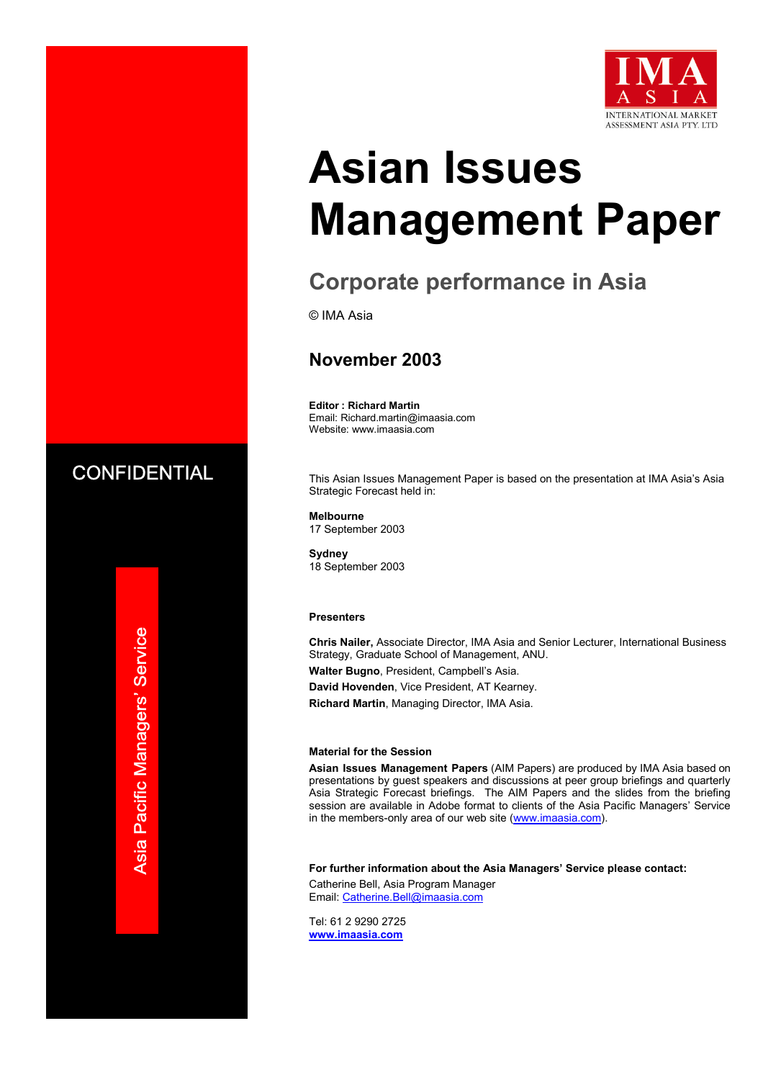

# **Asian Issues Management Paper**

## **Corporate performance in Asia**

© IMA Asia

## **November 2003**

**Editor : Richard Martin**  Email: Richard.martin@imaasia.com Website: www.imaasia.com

This Asian Issues Management Paper is based on the presentation at IMA Asia's Asia Strategic Forecast held in:

**Melbourne**  17 September 2003

**Sydney**  18 September 2003

#### **Presenters**

**Chris Nailer,** Associate Director, IMA Asia and Senior Lecturer, International Business Strategy, Graduate School of Management, ANU. **Walter Bugno**, President, Campbell's Asia.

**David Hovenden**, Vice President, AT Kearney.

**Richard Martin**, Managing Director, IMA Asia.

#### **Material for the Session**

**Asian Issues Management Papers** (AIM Papers) are produced by IMA Asia based on presentations by guest speakers and discussions at peer group briefings and quarterly Asia Strategic Forecast briefings. The AIM Papers and the slides from the briefing session are available in Adobe format to clients of the Asia Pacific Managers' Service in the members-only area of our web site (www.imaasia.com).

**For further information about the Asia Managers' Service please contact:**

Catherine Bell, Asia Program Manager Email: Catherine.Bell@imaasia.com

Tel: 61 2 9290 2725 **www.imaasia.com** 

**CONFIDENTIAL**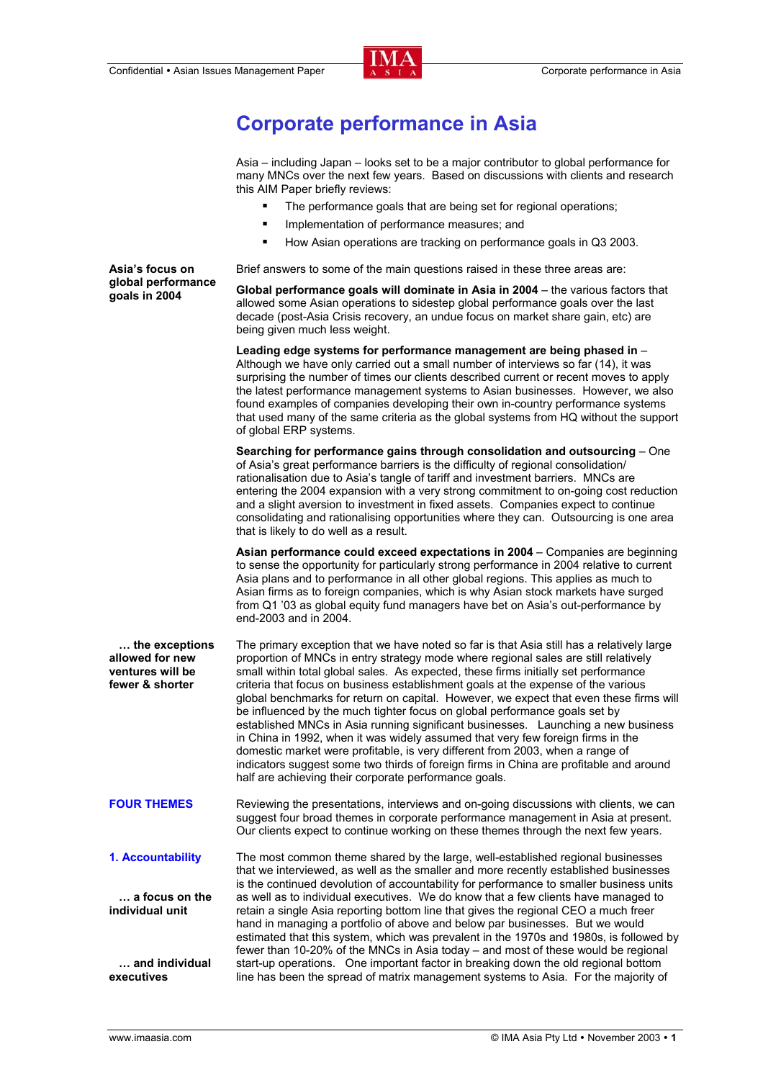

## **Corporate performance in Asia**

Asia – including Japan – looks set to be a major contributor to global performance for many MNCs over the next few years. Based on discussions with clients and research this AIM Paper briefly reviews:

- The performance goals that are being set for regional operations;
- Implementation of performance measures; and
- How Asian operations are tracking on performance goals in Q3 2003.

Brief answers to some of the main questions raised in these three areas are:

**Global performance goals will dominate in Asia in 2004** – the various factors that allowed some Asian operations to sidestep global performance goals over the last decade (post-Asia Crisis recovery, an undue focus on market share gain, etc) are being given much less weight.

**Leading edge systems for performance management are being phased in** – Although we have only carried out a small number of interviews so far (14), it was surprising the number of times our clients described current or recent moves to apply the latest performance management systems to Asian businesses. However, we also found examples of companies developing their own in-country performance systems that used many of the same criteria as the global systems from HQ without the support of global ERP systems.

**Searching for performance gains through consolidation and outsourcing** – One of Asia's great performance barriers is the difficulty of regional consolidation/ rationalisation due to Asia's tangle of tariff and investment barriers. MNCs are entering the 2004 expansion with a very strong commitment to on-going cost reduction and a slight aversion to investment in fixed assets. Companies expect to continue consolidating and rationalising opportunities where they can. Outsourcing is one area that is likely to do well as a result.

**Asian performance could exceed expectations in 2004** – Companies are beginning to sense the opportunity for particularly strong performance in 2004 relative to current Asia plans and to performance in all other global regions. This applies as much to Asian firms as to foreign companies, which is why Asian stock markets have surged from Q1 '03 as global equity fund managers have bet on Asia's out-performance by end-2003 and in 2004.

 **… the exceptions allowed for new ventures will be fewer & shorter**  The primary exception that we have noted so far is that Asia still has a relatively large proportion of MNCs in entry strategy mode where regional sales are still relatively small within total global sales. As expected, these firms initially set performance criteria that focus on business establishment goals at the expense of the various global benchmarks for return on capital. However, we expect that even these firms will be influenced by the much tighter focus on global performance goals set by established MNCs in Asia running significant businesses. Launching a new business in China in 1992, when it was widely assumed that very few foreign firms in the domestic market were profitable, is very different from 2003, when a range of indicators suggest some two thirds of foreign firms in China are profitable and around half are achieving their corporate performance goals.

**FOUR THEMES** Reviewing the presentations, interviews and on-going discussions with clients, we can suggest four broad themes in corporate performance management in Asia at present. Our clients expect to continue working on these themes through the next few years.

**1. Accountability … a focus on the individual unit … and individual executives**  The most common theme shared by the large, well-established regional businesses that we interviewed, as well as the smaller and more recently established businesses is the continued devolution of accountability for performance to smaller business units as well as to individual executives. We do know that a few clients have managed to retain a single Asia reporting bottom line that gives the regional CEO a much freer hand in managing a portfolio of above and below par businesses. But we would estimated that this system, which was prevalent in the 1970s and 1980s, is followed by fewer than 10-20% of the MNCs in Asia today – and most of these would be regional start-up operations. One important factor in breaking down the old regional bottom line has been the spread of matrix management systems to Asia. For the majority of

**Asia's focus on global performance goals in 2004**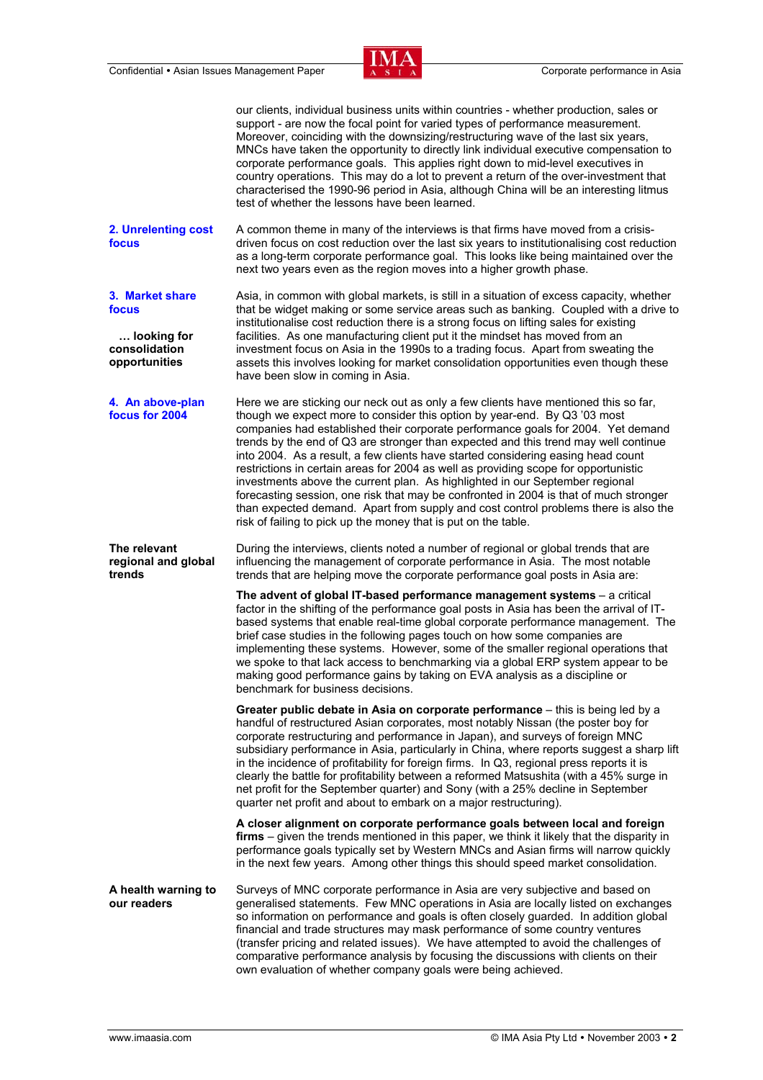

|                                                                           | our clients, individual business units within countries - whether production, sales or<br>support - are now the focal point for varied types of performance measurement.<br>Moreover, coinciding with the downsizing/restructuring wave of the last six years,<br>MNCs have taken the opportunity to directly link individual executive compensation to<br>corporate performance goals. This applies right down to mid-level executives in<br>country operations. This may do a lot to prevent a return of the over-investment that<br>characterised the 1990-96 period in Asia, although China will be an interesting litmus<br>test of whether the lessons have been learned.                                                                                                                                                                          |
|---------------------------------------------------------------------------|----------------------------------------------------------------------------------------------------------------------------------------------------------------------------------------------------------------------------------------------------------------------------------------------------------------------------------------------------------------------------------------------------------------------------------------------------------------------------------------------------------------------------------------------------------------------------------------------------------------------------------------------------------------------------------------------------------------------------------------------------------------------------------------------------------------------------------------------------------|
| 2. Unrelenting cost<br>focus                                              | A common theme in many of the interviews is that firms have moved from a crisis-<br>driven focus on cost reduction over the last six years to institutionalising cost reduction<br>as a long-term corporate performance goal. This looks like being maintained over the<br>next two years even as the region moves into a higher growth phase.                                                                                                                                                                                                                                                                                                                                                                                                                                                                                                           |
| 3. Market share<br>focus<br>looking for<br>consolidation<br>opportunities | Asia, in common with global markets, is still in a situation of excess capacity, whether<br>that be widget making or some service areas such as banking. Coupled with a drive to<br>institutionalise cost reduction there is a strong focus on lifting sales for existing<br>facilities. As one manufacturing client put it the mindset has moved from an<br>investment focus on Asia in the 1990s to a trading focus. Apart from sweating the<br>assets this involves looking for market consolidation opportunities even though these<br>have been slow in coming in Asia.                                                                                                                                                                                                                                                                             |
| 4. An above-plan<br>focus for 2004                                        | Here we are sticking our neck out as only a few clients have mentioned this so far,<br>though we expect more to consider this option by year-end. By Q3 '03 most<br>companies had established their corporate performance goals for 2004. Yet demand<br>trends by the end of Q3 are stronger than expected and this trend may well continue<br>into 2004. As a result, a few clients have started considering easing head count<br>restrictions in certain areas for 2004 as well as providing scope for opportunistic<br>investments above the current plan. As highlighted in our September regional<br>forecasting session, one risk that may be confronted in 2004 is that of much stronger<br>than expected demand. Apart from supply and cost control problems there is also the<br>risk of failing to pick up the money that is put on the table. |
|                                                                           |                                                                                                                                                                                                                                                                                                                                                                                                                                                                                                                                                                                                                                                                                                                                                                                                                                                          |
| The relevant<br>regional and global<br>trends                             | During the interviews, clients noted a number of regional or global trends that are<br>influencing the management of corporate performance in Asia. The most notable<br>trends that are helping move the corporate performance goal posts in Asia are:                                                                                                                                                                                                                                                                                                                                                                                                                                                                                                                                                                                                   |
|                                                                           | The advent of global IT-based performance management systems - a critical<br>factor in the shifting of the performance goal posts in Asia has been the arrival of IT-<br>based systems that enable real-time global corporate performance management. The<br>brief case studies in the following pages touch on how some companies are<br>implementing these systems. However, some of the smaller regional operations that<br>we spoke to that lack access to benchmarking via a global ERP system appear to be<br>making good performance gains by taking on EVA analysis as a discipline or<br>benchmark for business decisions.                                                                                                                                                                                                                      |
|                                                                           | Greater public debate in Asia on corporate performance - this is being led by a<br>handful of restructured Asian corporates, most notably Nissan (the poster boy for<br>corporate restructuring and performance in Japan), and surveys of foreign MNC<br>subsidiary performance in Asia, particularly in China, where reports suggest a sharp lift<br>in the incidence of profitability for foreign firms. In Q3, regional press reports it is<br>clearly the battle for profitability between a reformed Matsushita (with a 45% surge in<br>net profit for the September quarter) and Sony (with a 25% decline in September<br>quarter net profit and about to embark on a major restructuring).                                                                                                                                                        |
|                                                                           | A closer alignment on corporate performance goals between local and foreign<br>firms – given the trends mentioned in this paper, we think it likely that the disparity in<br>performance goals typically set by Western MNCs and Asian firms will narrow quickly<br>in the next few years. Among other things this should speed market consolidation.                                                                                                                                                                                                                                                                                                                                                                                                                                                                                                    |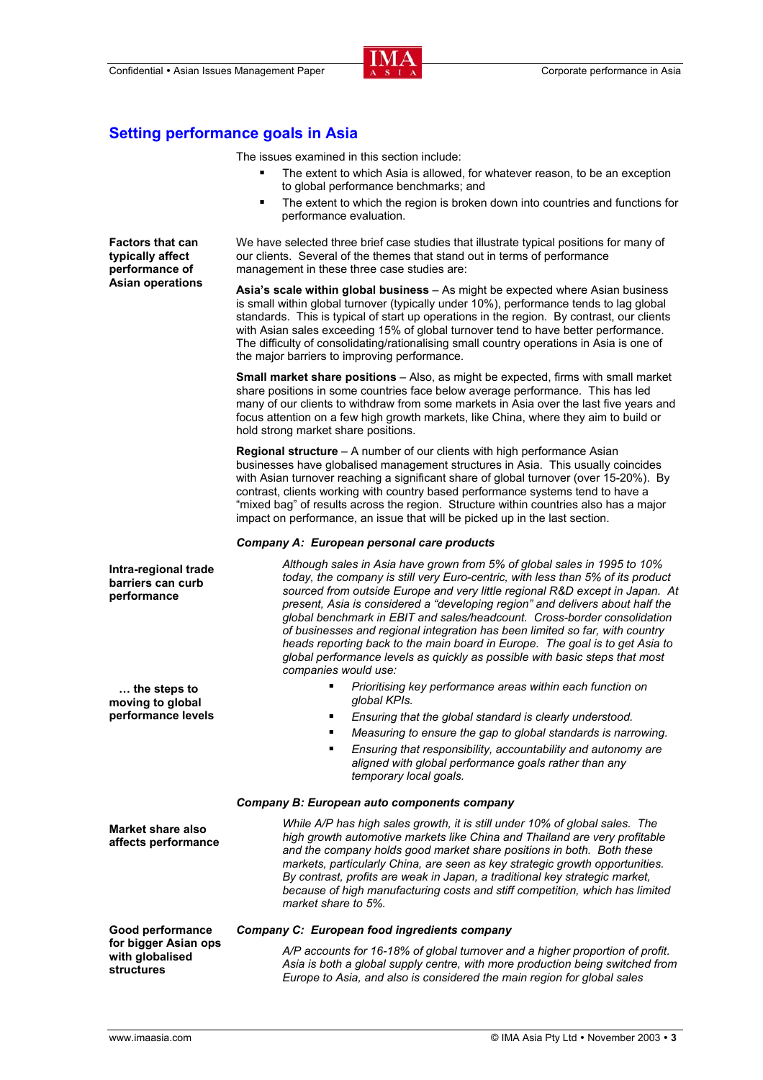

### **Setting performance goals in Asia**

The issues examined in this section include:

- **The extent to which Asia is allowed, for whatever reason, to be an exception** to global performance benchmarks; and
- **The extent to which the region is broken down into countries and functions for** performance evaluation.

| <b>Factors that can</b><br>typically affect<br>performance of<br><b>Asian operations</b> | We have selected three brief case studies that illustrate typical positions for many of<br>our clients. Several of the themes that stand out in terms of performance<br>management in these three case studies are:                                                                                                                                                                                                                                                                                                                                                                                                                                                             |
|------------------------------------------------------------------------------------------|---------------------------------------------------------------------------------------------------------------------------------------------------------------------------------------------------------------------------------------------------------------------------------------------------------------------------------------------------------------------------------------------------------------------------------------------------------------------------------------------------------------------------------------------------------------------------------------------------------------------------------------------------------------------------------|
|                                                                                          | Asia's scale within global business - As might be expected where Asian business<br>is small within global turnover (typically under 10%), performance tends to lag global<br>standards. This is typical of start up operations in the region. By contrast, our clients<br>with Asian sales exceeding 15% of global turnover tend to have better performance.<br>The difficulty of consolidating/rationalising small country operations in Asia is one of<br>the major barriers to improving performance.                                                                                                                                                                        |
|                                                                                          | <b>Small market share positions</b> - Also, as might be expected, firms with small market<br>share positions in some countries face below average performance. This has led<br>many of our clients to withdraw from some markets in Asia over the last five years and<br>focus attention on a few high growth markets, like China, where they aim to build or<br>hold strong market share positions.                                                                                                                                                                                                                                                                            |
|                                                                                          | Regional structure - A number of our clients with high performance Asian<br>businesses have globalised management structures in Asia. This usually coincides<br>with Asian turnover reaching a significant share of global turnover (over 15-20%). By<br>contrast, clients working with country based performance systems tend to have a<br>"mixed bag" of results across the region. Structure within countries also has a major<br>impact on performance, an issue that will be picked up in the last section.                                                                                                                                                                |
|                                                                                          | Company A: European personal care products                                                                                                                                                                                                                                                                                                                                                                                                                                                                                                                                                                                                                                      |
| Intra-regional trade<br>barriers can curb<br>performance                                 | Although sales in Asia have grown from 5% of global sales in 1995 to 10%<br>today, the company is still very Euro-centric, with less than 5% of its product<br>sourced from outside Europe and very little regional R&D except in Japan. At<br>present, Asia is considered a "developing region" and delivers about half the<br>global benchmark in EBIT and sales/headcount. Cross-border consolidation<br>of businesses and regional integration has been limited so far, with country<br>heads reporting back to the main board in Europe. The goal is to get Asia to<br>global performance levels as quickly as possible with basic steps that most<br>companies would use: |
| the steps to<br>moving to global                                                         | Prioritising key performance areas within each function on<br>٠<br>global KPIs.                                                                                                                                                                                                                                                                                                                                                                                                                                                                                                                                                                                                 |
| performance levels                                                                       | Ensuring that the global standard is clearly understood.<br>٠                                                                                                                                                                                                                                                                                                                                                                                                                                                                                                                                                                                                                   |
|                                                                                          | Measuring to ensure the gap to global standards is narrowing.<br>٠                                                                                                                                                                                                                                                                                                                                                                                                                                                                                                                                                                                                              |
|                                                                                          | Ensuring that responsibility, accountability and autonomy are<br>٠<br>aligned with global performance goals rather than any<br>temporary local goals.                                                                                                                                                                                                                                                                                                                                                                                                                                                                                                                           |
|                                                                                          | Company B: European auto components company                                                                                                                                                                                                                                                                                                                                                                                                                                                                                                                                                                                                                                     |
| <b>Market share also</b><br>affects performance                                          | While A/P has high sales growth, it is still under 10% of global sales. The<br>high growth automotive markets like China and Thailand are very profitable<br>and the company holds good market share positions in both. Both these<br>markets, particularly China, are seen as key strategic growth opportunities.<br>By contrast, profits are weak in Japan, a traditional key strategic market,<br>because of high manufacturing costs and stiff competition, which has limited<br>market share to 5%.                                                                                                                                                                        |
| Good performance                                                                         | <b>Company C: European food ingredients company</b>                                                                                                                                                                                                                                                                                                                                                                                                                                                                                                                                                                                                                             |
| for bigger Asian ops<br>with globalised<br><b>structures</b>                             | A/P accounts for 16-18% of global turnover and a higher proportion of profit.<br>Asia is both a global supply centre, with more production being switched from<br>Europe to Asia, and also is considered the main region for global sales                                                                                                                                                                                                                                                                                                                                                                                                                                       |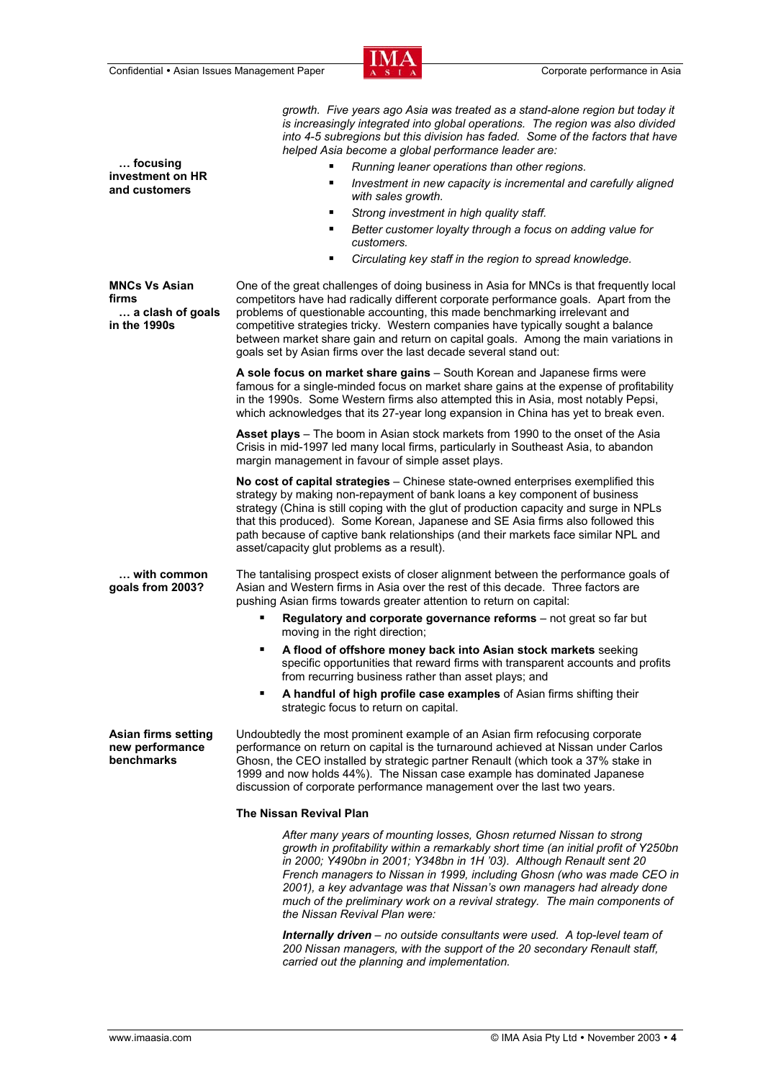

| focusing<br>investment on HR<br>and customers                     | growth. Five years ago Asia was treated as a stand-alone region but today it<br>is increasingly integrated into global operations. The region was also divided<br>into 4-5 subregions but this division has faded. Some of the factors that have<br>helped Asia become a global performance leader are:<br>Running leaner operations than other regions.<br>Investment in new capacity is incremental and carefully aligned<br>٠<br>with sales growth.<br>Strong investment in high quality staff.<br>٠<br>Better customer loyalty through a focus on adding value for<br>٠<br>customers.<br>Circulating key staff in the region to spread knowledge.<br>٠ |
|-------------------------------------------------------------------|------------------------------------------------------------------------------------------------------------------------------------------------------------------------------------------------------------------------------------------------------------------------------------------------------------------------------------------------------------------------------------------------------------------------------------------------------------------------------------------------------------------------------------------------------------------------------------------------------------------------------------------------------------|
| <b>MNCs Vs Asian</b><br>firms<br>a clash of goals<br>in the 1990s | One of the great challenges of doing business in Asia for MNCs is that frequently local<br>competitors have had radically different corporate performance goals. Apart from the<br>problems of questionable accounting, this made benchmarking irrelevant and<br>competitive strategies tricky. Western companies have typically sought a balance<br>between market share gain and return on capital goals. Among the main variations in<br>goals set by Asian firms over the last decade several stand out:                                                                                                                                               |
|                                                                   | A sole focus on market share gains - South Korean and Japanese firms were<br>famous for a single-minded focus on market share gains at the expense of profitability<br>in the 1990s. Some Western firms also attempted this in Asia, most notably Pepsi,<br>which acknowledges that its 27-year long expansion in China has yet to break even.                                                                                                                                                                                                                                                                                                             |
|                                                                   | Asset plays - The boom in Asian stock markets from 1990 to the onset of the Asia<br>Crisis in mid-1997 led many local firms, particularly in Southeast Asia, to abandon<br>margin management in favour of simple asset plays.                                                                                                                                                                                                                                                                                                                                                                                                                              |
|                                                                   | No cost of capital strategies - Chinese state-owned enterprises exemplified this<br>strategy by making non-repayment of bank loans a key component of business<br>strategy (China is still coping with the glut of production capacity and surge in NPLs<br>that this produced). Some Korean, Japanese and SE Asia firms also followed this<br>path because of captive bank relationships (and their markets face similar NPL and<br>asset/capacity glut problems as a result).                                                                                                                                                                            |
| with common<br>goals from 2003?                                   | The tantalising prospect exists of closer alignment between the performance goals of<br>Asian and Western firms in Asia over the rest of this decade. Three factors are<br>pushing Asian firms towards greater attention to return on capital:                                                                                                                                                                                                                                                                                                                                                                                                             |
|                                                                   | Regulatory and corporate governance reforms - not great so far but<br>moving in the right direction;                                                                                                                                                                                                                                                                                                                                                                                                                                                                                                                                                       |
|                                                                   | A flood of offshore money back into Asian stock markets seeking<br>٠<br>specific opportunities that reward firms with transparent accounts and profits<br>from recurring business rather than asset plays; and                                                                                                                                                                                                                                                                                                                                                                                                                                             |
|                                                                   | A handful of high profile case examples of Asian firms shifting their<br>٠<br>strategic focus to return on capital.                                                                                                                                                                                                                                                                                                                                                                                                                                                                                                                                        |
| Asian firms setting<br>new performance<br>benchmarks              | Undoubtedly the most prominent example of an Asian firm refocusing corporate<br>performance on return on capital is the turnaround achieved at Nissan under Carlos<br>Ghosn, the CEO installed by strategic partner Renault (which took a 37% stake in<br>1999 and now holds 44%). The Nissan case example has dominated Japanese<br>discussion of corporate performance management over the last two years.                                                                                                                                                                                                                                               |
|                                                                   | <b>The Nissan Revival Plan</b>                                                                                                                                                                                                                                                                                                                                                                                                                                                                                                                                                                                                                             |
|                                                                   | After many years of mounting losses, Ghosn returned Nissan to strong<br>growth in profitability within a remarkably short time (an initial profit of Y250bn<br>in 2000; Y490bn in 2001; Y348bn in 1H '03). Although Renault sent 20<br>French managers to Nissan in 1999, including Ghosn (who was made CEO in<br>2001), a key advantage was that Nissan's own managers had already done<br>much of the preliminary work on a revival strategy. The main components of<br>the Nissan Revival Plan were:                                                                                                                                                    |

*Internally driven – no outside consultants were used. A top-level team of 200 Nissan managers, with the support of the 20 secondary Renault staff, carried out the planning and implementation.*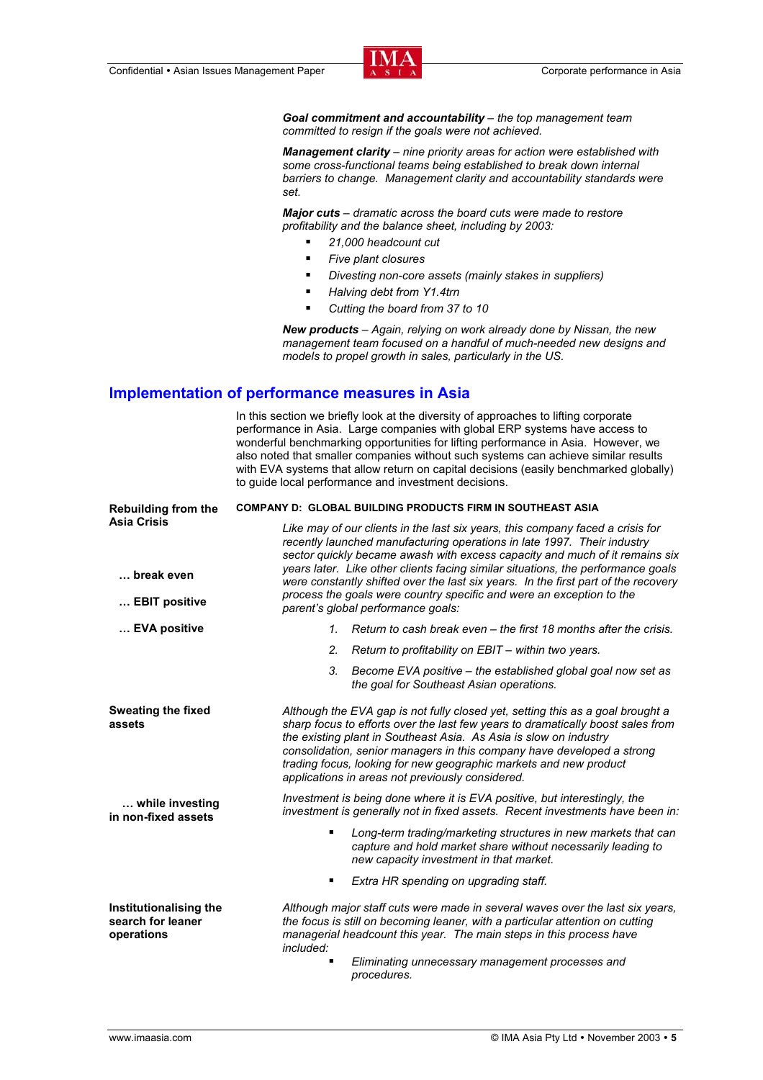*Goal commitment and accountability – the top management team committed to resign if the goals were not achieved.* 

*Management clarity – nine priority areas for action were established with some cross-functional teams being established to break down internal barriers to change. Management clarity and accountability standards were set.* 

*Major cuts – dramatic across the board cuts were made to restore profitability and the balance sheet, including by 2003:* 

- *21,000 headcount cut*
- *Five plant closures*
- *Divesting non-core assets (mainly stakes in suppliers)*
- *Halving debt from Y1.4trn*
- *Cutting the board from 37 to 10*

*New products – Again, relying on work already done by Nissan, the new management team focused on a handful of much-needed new designs and models to propel growth in sales, particularly in the US.* 

#### **Implementation of performance measures in Asia**

In this section we briefly look at the diversity of approaches to lifting corporate performance in Asia. Large companies with global ERP systems have access to wonderful benchmarking opportunities for lifting performance in Asia. However, we also noted that smaller companies without such systems can achieve similar results with EVA systems that allow return on capital decisions (easily benchmarked globally) to guide local performance and investment decisions.

| <b>Rebuilding from the</b><br><b>Asia Crisis</b><br>break even | <b>COMPANY D: GLOBAL BUILDING PRODUCTS FIRM IN SOUTHEAST ASIA</b>                                                                                                                                                                                                                                                                                                                                                                         |
|----------------------------------------------------------------|-------------------------------------------------------------------------------------------------------------------------------------------------------------------------------------------------------------------------------------------------------------------------------------------------------------------------------------------------------------------------------------------------------------------------------------------|
|                                                                | Like may of our clients in the last six years, this company faced a crisis for<br>recently launched manufacturing operations in late 1997. Their industry<br>sector quickly became awash with excess capacity and much of it remains six<br>years later. Like other clients facing similar situations, the performance goals                                                                                                              |
|                                                                | were constantly shifted over the last six years. In the first part of the recovery<br>process the goals were country specific and were an exception to the                                                                                                                                                                                                                                                                                |
| EBIT positive                                                  | parent's global performance goals:                                                                                                                                                                                                                                                                                                                                                                                                        |
| EVA positive                                                   | 1. Return to cash break even – the first 18 months after the crisis.                                                                                                                                                                                                                                                                                                                                                                      |
|                                                                | 2.<br>Return to profitability on EBIT – within two years.                                                                                                                                                                                                                                                                                                                                                                                 |
|                                                                | 3.<br>Become EVA positive – the established global goal now set as<br>the goal for Southeast Asian operations.                                                                                                                                                                                                                                                                                                                            |
| <b>Sweating the fixed</b><br>assets                            | Although the EVA gap is not fully closed yet, setting this as a goal brought a<br>sharp focus to efforts over the last few years to dramatically boost sales from<br>the existing plant in Southeast Asia. As Asia is slow on industry<br>consolidation, senior managers in this company have developed a strong<br>trading focus, looking for new geographic markets and new product<br>applications in areas not previously considered. |
| while investing<br>in non-fixed assets                         | Investment is being done where it is EVA positive, but interestingly, the<br>investment is generally not in fixed assets. Recent investments have been in:                                                                                                                                                                                                                                                                                |
|                                                                | Long-term trading/marketing structures in new markets that can<br>capture and hold market share without necessarily leading to<br>new capacity investment in that market.                                                                                                                                                                                                                                                                 |
|                                                                | Extra HR spending on upgrading staff.                                                                                                                                                                                                                                                                                                                                                                                                     |
| Institutionalising the<br>search for leaner<br>operations      | Although major staff cuts were made in several waves over the last six years,<br>the focus is still on becoming leaner, with a particular attention on cutting<br>managerial headcount this year. The main steps in this process have<br>included:                                                                                                                                                                                        |
|                                                                | Eliminating unnecessary management processes and<br>procedures.                                                                                                                                                                                                                                                                                                                                                                           |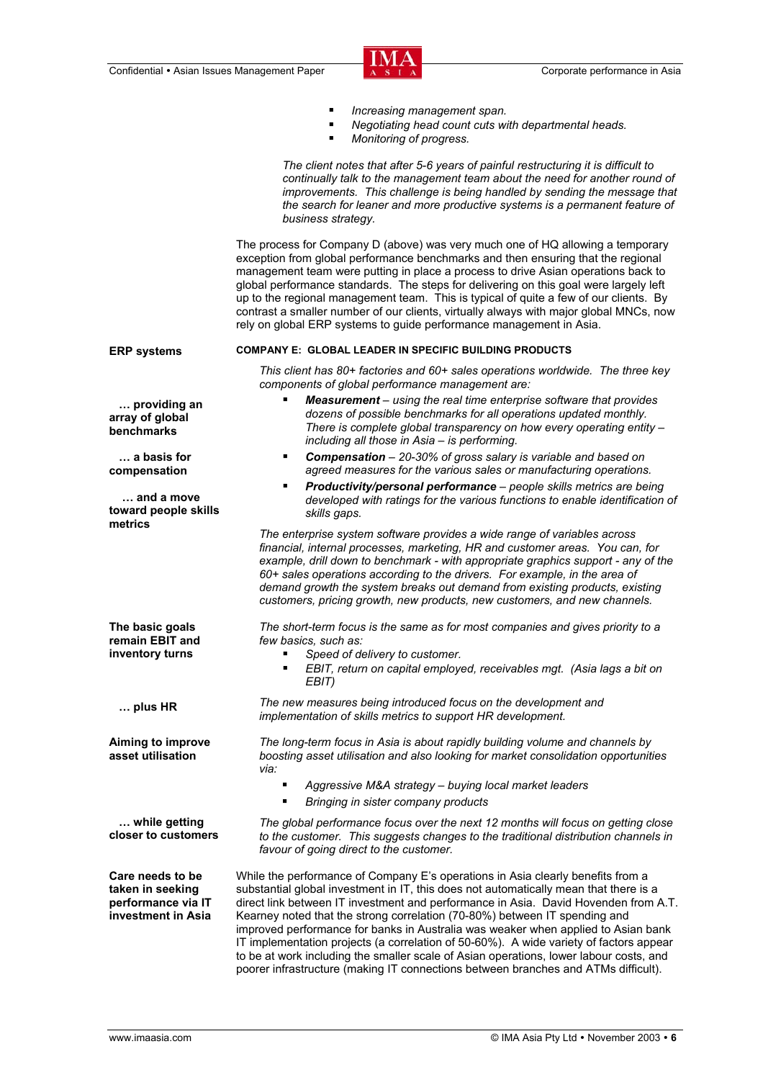

|                                                                                  | Increasing management span.<br>٠<br>Negotiating head count cuts with departmental heads.<br>٠<br>Monitoring of progress.<br>٠                                                                                                                                                                                                                                                                                                                                                                                                                                                                                                                                                                                |
|----------------------------------------------------------------------------------|--------------------------------------------------------------------------------------------------------------------------------------------------------------------------------------------------------------------------------------------------------------------------------------------------------------------------------------------------------------------------------------------------------------------------------------------------------------------------------------------------------------------------------------------------------------------------------------------------------------------------------------------------------------------------------------------------------------|
|                                                                                  | The client notes that after 5-6 years of painful restructuring it is difficult to<br>continually talk to the management team about the need for another round of<br>improvements. This challenge is being handled by sending the message that<br>the search for leaner and more productive systems is a permanent feature of<br>business strategy.                                                                                                                                                                                                                                                                                                                                                           |
|                                                                                  | The process for Company D (above) was very much one of HQ allowing a temporary<br>exception from global performance benchmarks and then ensuring that the regional<br>management team were putting in place a process to drive Asian operations back to<br>global performance standards. The steps for delivering on this goal were largely left<br>up to the regional management team. This is typical of quite a few of our clients. By<br>contrast a smaller number of our clients, virtually always with major global MNCs, now<br>rely on global ERP systems to guide performance management in Asia.                                                                                                   |
| <b>ERP systems</b>                                                               | <b>COMPANY E: GLOBAL LEADER IN SPECIFIC BUILDING PRODUCTS</b>                                                                                                                                                                                                                                                                                                                                                                                                                                                                                                                                                                                                                                                |
|                                                                                  | This client has 80+ factories and 60+ sales operations worldwide. The three key<br>components of global performance management are:                                                                                                                                                                                                                                                                                                                                                                                                                                                                                                                                                                          |
| providing an<br>array of global<br>benchmarks                                    | Measurement - using the real time enterprise software that provides<br>٠<br>dozens of possible benchmarks for all operations updated monthly.<br>There is complete global transparency on how every operating entity -<br>including all those in Asia - is performing.                                                                                                                                                                                                                                                                                                                                                                                                                                       |
| a basis for<br>compensation                                                      | <b>Compensation</b> - 20-30% of gross salary is variable and based on<br>٠<br>agreed measures for the various sales or manufacturing operations.                                                                                                                                                                                                                                                                                                                                                                                                                                                                                                                                                             |
| and a move<br>toward people skills<br>metrics                                    | Productivity/personal performance - people skills metrics are being<br>٠<br>developed with ratings for the various functions to enable identification of<br>skills gaps.                                                                                                                                                                                                                                                                                                                                                                                                                                                                                                                                     |
|                                                                                  | The enterprise system software provides a wide range of variables across<br>financial, internal processes, marketing, HR and customer areas. You can, for<br>example, drill down to benchmark - with appropriate graphics support - any of the<br>60+ sales operations according to the drivers. For example, in the area of<br>demand growth the system breaks out demand from existing products, existing<br>customers, pricing growth, new products, new customers, and new channels.                                                                                                                                                                                                                     |
| The basic goals<br>remain EBIT and                                               | The short-term focus is the same as for most companies and gives priority to a<br>few basics, such as:                                                                                                                                                                                                                                                                                                                                                                                                                                                                                                                                                                                                       |
| inventory turns                                                                  | Speed of delivery to customer.<br>■ EBIT, return on capital employed, receivables mgt. (Asia lags a bit on<br>EBIT)                                                                                                                                                                                                                                                                                                                                                                                                                                                                                                                                                                                          |
| $\ldots$ plus HR                                                                 | The new measures being introduced focus on the development and<br>implementation of skills metrics to support HR development.                                                                                                                                                                                                                                                                                                                                                                                                                                                                                                                                                                                |
| Aiming to improve<br>asset utilisation                                           | The long-term focus in Asia is about rapidly building volume and channels by<br>boosting asset utilisation and also looking for market consolidation opportunities<br>via:                                                                                                                                                                                                                                                                                                                                                                                                                                                                                                                                   |
|                                                                                  | Aggressive M&A strategy - buying local market leaders<br>٠<br>٠<br>Bringing in sister company products                                                                                                                                                                                                                                                                                                                                                                                                                                                                                                                                                                                                       |
| while getting<br>closer to customers                                             | The global performance focus over the next 12 months will focus on getting close<br>to the customer. This suggests changes to the traditional distribution channels in<br>favour of going direct to the customer.                                                                                                                                                                                                                                                                                                                                                                                                                                                                                            |
| Care needs to be<br>taken in seeking<br>performance via IT<br>investment in Asia | While the performance of Company E's operations in Asia clearly benefits from a<br>substantial global investment in IT, this does not automatically mean that there is a<br>direct link between IT investment and performance in Asia. David Hovenden from A.T.<br>Kearney noted that the strong correlation (70-80%) between IT spending and<br>improved performance for banks in Australia was weaker when applied to Asian bank<br>IT implementation projects (a correlation of 50-60%). A wide variety of factors appear<br>to be at work including the smaller scale of Asian operations, lower labour costs, and<br>poorer infrastructure (making IT connections between branches and ATMs difficult). |